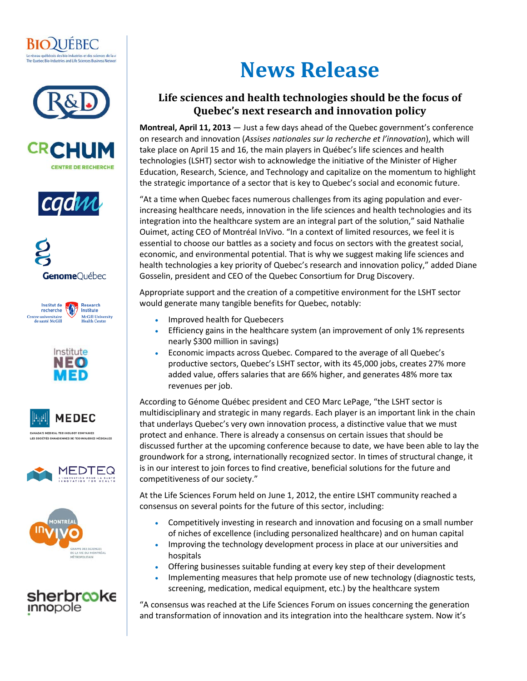





















## **News Release**

## **Life sciences and health technologies should be the focus of Quebec's next research and innovation policy**

**Montreal, April 11, 2013** — Just a few days ahead of the Quebec government's conference on research and innovation (*Assises nationales sur la recherche et l'innovation*), which will take place on April 15 and 16, the main players in Québec's life sciences and health technologies (LSHT) sector wish to acknowledge the initiative of the Minister of Higher Education, Research, Science, and Technology and capitalize on the momentum to highlight the strategic importance of a sector that is key to Quebec's social and economic future.

"At a time when Quebec faces numerous challenges from its aging population and everincreasing healthcare needs, innovation in the life sciences and health technologies and its integration into the healthcare system are an integral part of the solution," said Nathalie Ouimet, acting CEO of Montréal InVivo. "In a context of limited resources, we feel it is essential to choose our battles as a society and focus on sectors with the greatest social, economic, and environmental potential. That is why we suggest making life sciences and health technologies a key priority of Quebec's research and innovation policy," added Diane Gosselin, president and CEO of the Quebec Consortium for Drug Discovery.

Appropriate support and the creation of a competitive environment for the LSHT sector would generate many tangible benefits for Quebec, notably:

- Improved health for Quebecers
- Efficiency gains in the healthcare system (an improvement of only 1% represents nearly \$300 million in savings)
- Economic impacts across Quebec. Compared to the average of all Quebec's productive sectors, Quebec's LSHT sector, with its 45,000 jobs, creates 27% more added value, offers salaries that are 66% higher, and generates 48% more tax revenues per job.

According to Génome Québec president and CEO Marc LePage, "the LSHT sector is multidisciplinary and strategic in many regards. Each player is an important link in the chain that underlays Quebec's very own innovation process, a distinctive value that we must protect and enhance. There is already a consensus on certain issues that should be discussed further at the upcoming conference because to date, we have been able to lay the groundwork for a strong, internationally recognized sector. In times of structural change, it is in our interest to join forces to find creative, beneficial solutions for the future and competitiveness of our society."

At the Life Sciences Forum held on June 1, 2012, the entire LSHT community reached a consensus on several points for the future of this sector, including:

- Competitively investing in research and innovation and focusing on a small number of niches of excellence (including personalized healthcare) and on human capital
- Improving the technology development process in place at our universities and hospitals
- Offering businesses suitable funding at every key step of their development
- Implementing measures that help promote use of new technology (diagnostic tests, screening, medication, medical equipment, etc.) by the healthcare system

"A consensus was reached at the Life Sciences Forum on issues concerning the generation and transformation of innovation and its integration into the healthcare system. Now it's